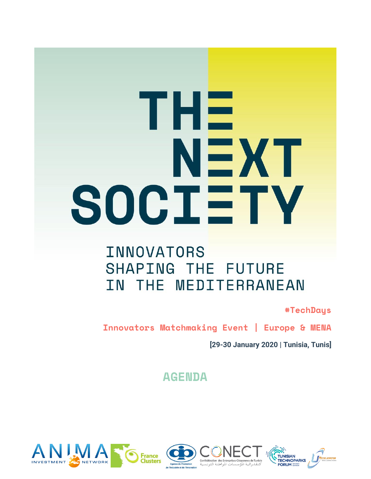# THE NEXT SOCIETY

# **INNOVATORS** SHAPING THE FUTURE IN THE MEDITERRANEAN

**#TechDays**

**Innovators Matchmaking Event | Europe & MENA**

**[29-30 January 2020 | Tunisia, Tunis]**

**AGENDA**



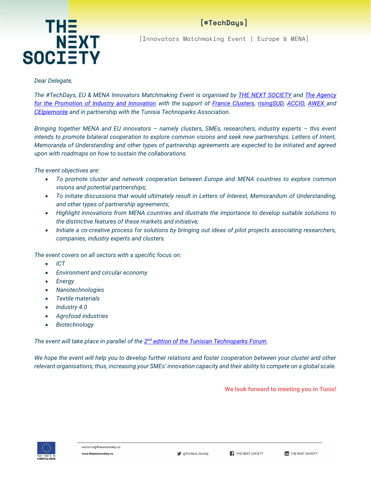

[Innovators Matchmaking Event | Europe & MENA]

#### *Dear Delegate,*

*The #TechDays, EU & MENA Innovators Matchmaking Event is organised by [THE NEXT SOCIETY](https://www.thenextsociety.co/) and [The Agency](http://www.tunisieindustrie.nat.tn/en/home.asp)  [for the Promotion of Industry and Innovation](http://www.tunisieindustrie.nat.tn/en/home.asp) with the support of [France Clusters,](https://franceclusters.fr/) [risingSUD,](https://www.risingsud.fr/) [ACCIO,](http://www.accio.gencat.cat/ca/inici/) [AWEX a](https://www.awex.be/)nd [CEIpiemonte](http://www.centroestero.org/it/) and in partnership with the Tunisia Technoparks Association.*

*Bringing together MENA and EU innovators – namely clusters, SMEs, researchers, industry experts – this event intends to promote bilateral cooperation to explore common visions and seek new partnerships. Letters of Intent, Memoranda of Understanding and other types of partnership agreements are expected to be initiated and agreed upon with roadmaps on how to sustain the collaborations.*

*The event objectives are:*

- *To promote cluster and network cooperation between Europe and MENA countries to explore common visions and potential partnerships;*
- *To initiate discussions that would ultimately result in Letters of Interest, Memorandum of Understanding, and other types of partnership agreements;*
- *Highlight innovations from MENA countries and illustrate the importance to develop suitable solutions to the distinctive features of these markets and initiative;*
- *Initiate a co-creative process for solutions by bringing out ideas of pilot projects associating researchers, companies, industry experts and clusters.*

*The event covers on all sectors with a specific focus on:*

- *ICT*
- *Environment and circular economy*
- *Energy*
- *Nanotechnologies*
- *Textile materials*
- *Industry 4.0*
- *Agrofood industries*
- *Biotechnology*

*The event will take place in parallel of the 2 nd [edition of the Tunisian Technoparks Forum.](http://www.tunisiantechnoparksforum.net/forum.html)*

We hope the event will help you to develop further relations and foster cooperation between your cluster and other *relevant organisations; thus, increasing your SMEs' innovation capacity and their ability to compete on a global scale.*

**We look forward to meeting you in Tunis!**

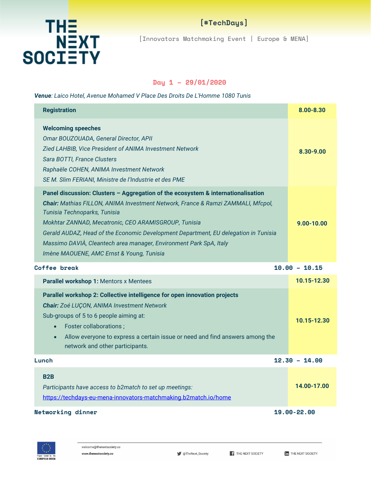

[Innovators Matchmaking Event | Europe & MENA]

#### **Day 1 – 29/01/2020**

#### *Venue: Laico Hotel, Avenue Mohamed V Place Des Droits De L'Homme 1080 Tunis*

| <b>Registration</b>                                                                                                                                                                                                                                                                                                                                                                                                                                                    | 8.00-8.30       |
|------------------------------------------------------------------------------------------------------------------------------------------------------------------------------------------------------------------------------------------------------------------------------------------------------------------------------------------------------------------------------------------------------------------------------------------------------------------------|-----------------|
| <b>Welcoming speeches</b><br>Omar BOUZOUADA, General Director, APII<br>Zied LAHBIB, Vice President of ANIMA Investment Network<br>Sara BOTTI, France Clusters<br>Raphaële COHEN, ANIMA Investment Network<br>SE M. Slim FERIANI, Ministre de l'Industrie et des PME                                                                                                                                                                                                    | 8.30-9.00       |
| Panel discussion: Clusters - Aggregation of the ecosystem & internationalisation<br>Chair: Mathias FILLON, ANIMA Investment Network, France & Ramzi ZAMMALI, Mfcpol,<br>Tunisia Technoparks, Tunisia<br>Mokhtar ZANNAD, Mecatronic, CEO ARAMISGROUP, Tunisia<br>Gerald AUDAZ, Head of the Economic Development Department, EU delegation in Tunisia<br>Massimo DAVIÀ, Cleantech area manager, Environment Park SpA, Italy<br>Imène MAOUENE, AMC Ernst & Young, Tunisia | $9.00 - 10.00$  |
| Coffee break                                                                                                                                                                                                                                                                                                                                                                                                                                                           | $10.00 - 10.15$ |
| Parallel workshop 1: Mentors x Mentees                                                                                                                                                                                                                                                                                                                                                                                                                                 | 10.15-12.30     |
| Parallel workshop 2: Collective intelligence for open innovation projects                                                                                                                                                                                                                                                                                                                                                                                              |                 |
| <b>Chair:</b> Zoé LUÇON, ANIMA Investment Network<br>Sub-groups of 5 to 6 people aiming at:<br>Foster collaborations;<br>$\bullet$<br>Allow everyone to express a certain issue or need and find answers among the<br>$\bullet$<br>network and other participants.                                                                                                                                                                                                     | 10.15-12.30     |
| Lunch                                                                                                                                                                                                                                                                                                                                                                                                                                                                  | $12.30 - 14.00$ |
| B <sub>2</sub> B<br>Participants have access to b2match to set up meetings:<br>https://techdays-eu-mena-innovators-matchmaking.b2match.io/home                                                                                                                                                                                                                                                                                                                         | 14.00-17.00     |

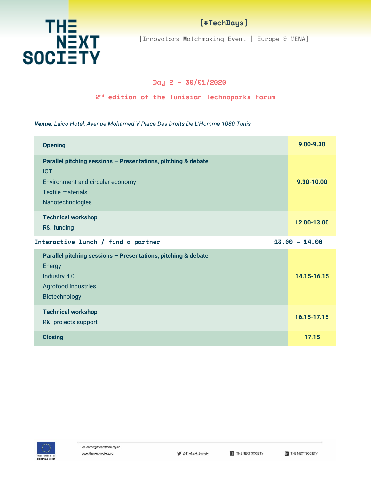

[Innovators Matchmaking Event | Europe & MENA]

#### **Day 2 – 30/01/2020**

#### **2 nd edition of the Tunisian Technoparks Forum**

*Venue: Laico Hotel, Avenue Mohamed V Place Des Droits De L'Homme 1080 Tunis* 

| <b>Opening</b>                                                                                                                                                  | $9.00 - 9.30$   |
|-----------------------------------------------------------------------------------------------------------------------------------------------------------------|-----------------|
| Parallel pitching sessions - Presentations, pitching & debate<br><b>ICT</b><br>Environment and circular economy<br><b>Textile materials</b><br>Nanotechnologies | 9.30-10.00      |
| <b>Technical workshop</b><br>R&I funding                                                                                                                        | 12.00-13.00     |
| Interactive lunch / find a partner                                                                                                                              | $13.00 - 14.00$ |
| Parallel pitching sessions - Presentations, pitching & debate<br>Energy<br>Industry 4.0<br>Agrofood industries<br>Biotechnology                                 | 14.15-16.15     |
| <b>Technical workshop</b><br>R&I projects support                                                                                                               | 16.15-17.15     |
| <b>Closing</b>                                                                                                                                                  | 17.15           |

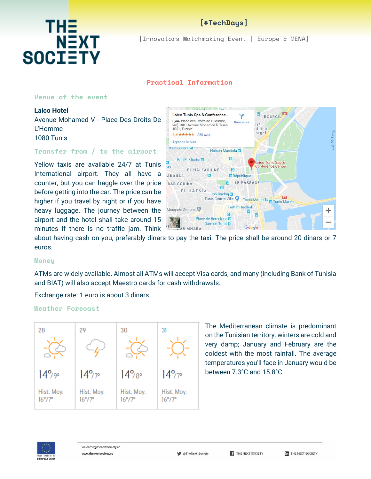

[Innovators Matchmaking Event | Europe & MENA]

#### **Practical Information**

#### **Venue of the event**

**NEXT** 

#### **Laico Hotel** Avenue Mohamed V - Place Des Droits De

THE

**SOCIETY** 

L'Homme 1080 Tunis

#### **Transfer from / to the airport**

Yellow taxis are available 24/7 at Tunis International airport. They all have a counter, but you can haggle over the price before getting into the car. The price can be higher if you travel by night or if you have heavy luggage. The journey between the airport and the hotel shall take around 15 minutes if there is no traffic jam. Think



about having cash on you, preferably dinars to pay the taxi. The price shall be around 20 dinars or 7 euros.

#### **Money**

ATMs are widely available. Almost all ATMs will accept Visa cards, and many (including Bank of Tunisia and BIAT) will also accept Maestro cards for cash withdrawals.

Exchange rate: 1 euro is about 3 dinars.

#### **Weather Forecast**



The Mediterranean climate is predominant on the Tunisian territory: winters are cold and very damp; January and February are the coldest with the most rainfall. The average temperatures you'll face in January would be between 7.3°C and 15.8°C.